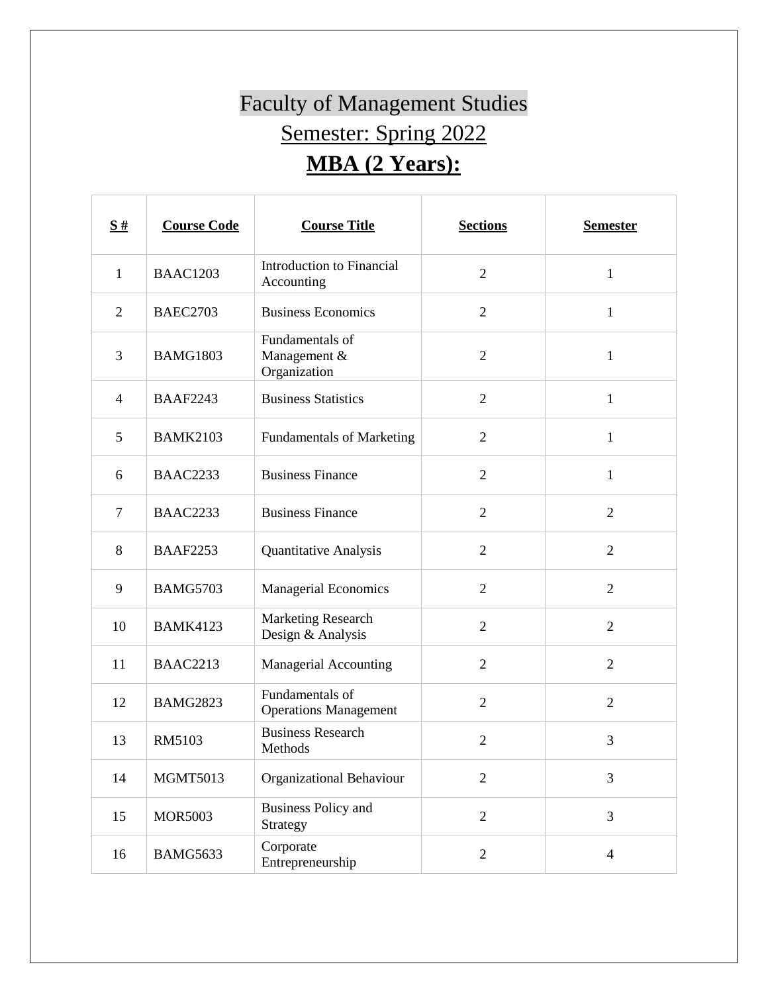## Faculty of Management Studies Semester: Spring 2022 **MBA (2 Years):**

| S#             | <b>Course Code</b> | <b>Course Title</b>                             | <b>Sections</b> | <b>Semester</b> |
|----------------|--------------------|-------------------------------------------------|-----------------|-----------------|
| $\mathbf{1}$   | <b>BAAC1203</b>    | Introduction to Financial<br>Accounting         | $\overline{2}$  | $\mathbf{1}$    |
| $\overline{2}$ | <b>BAEC2703</b>    | <b>Business Economics</b>                       | $\overline{2}$  | $\mathbf{1}$    |
| 3              | <b>BAMG1803</b>    | Fundamentals of<br>Management &<br>Organization | $\overline{2}$  | 1               |
| $\overline{4}$ | <b>BAAF2243</b>    | <b>Business Statistics</b>                      | $\overline{2}$  | $\mathbf{1}$    |
| 5              | <b>BAMK2103</b>    | <b>Fundamentals of Marketing</b>                | $\overline{2}$  | $\mathbf{1}$    |
| 6              | <b>BAAC2233</b>    | <b>Business Finance</b>                         | $\overline{2}$  | $\mathbf{1}$    |
| $\overline{7}$ | <b>BAAC2233</b>    | <b>Business Finance</b>                         | $\overline{2}$  | $\overline{2}$  |
| 8              | <b>BAAF2253</b>    | Quantitative Analysis                           | $\overline{2}$  | $\overline{2}$  |
| 9              | <b>BAMG5703</b>    | <b>Managerial Economics</b>                     | $\overline{2}$  | $\overline{2}$  |
| 10             | <b>BAMK4123</b>    | <b>Marketing Research</b><br>Design & Analysis  | $\overline{2}$  | $\overline{2}$  |
| 11             | <b>BAAC2213</b>    | Managerial Accounting                           | $\overline{2}$  | $\overline{2}$  |
| 12             | <b>BAMG2823</b>    | Fundamentals of<br><b>Operations Management</b> | $\overline{2}$  | $\overline{2}$  |
| 13             | RM5103             | <b>Business Research</b><br>Methods             | $\overline{2}$  | 3               |
| 14             | MGMT5013           | Organizational Behaviour                        | $\overline{2}$  | 3               |
| 15             | <b>MOR5003</b>     | <b>Business Policy and</b><br>Strategy          | $\overline{c}$  | 3               |
| 16             | <b>BAMG5633</b>    | Corporate<br>Entrepreneurship                   | $\overline{c}$  | $\overline{4}$  |